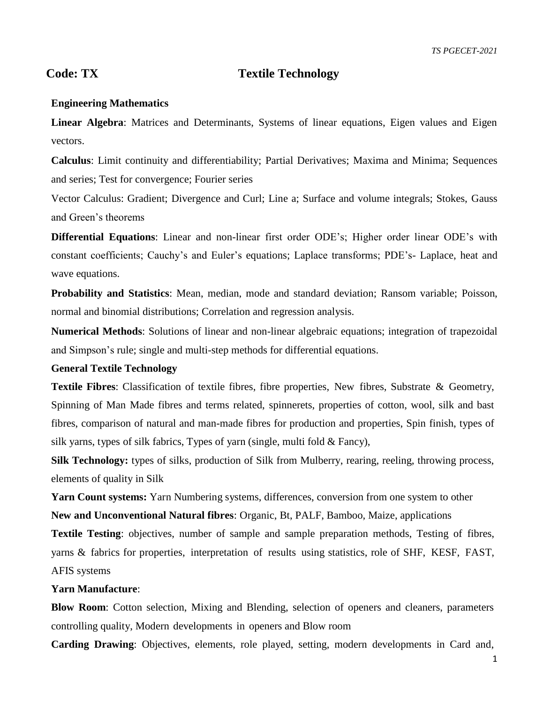# **Code: TX Textile Technology**

### **Engineering Mathematics**

**Linear Algebra**: Matrices and Determinants, Systems of linear equations, Eigen values and Eigen vectors.

**Calculus**: Limit continuity and differentiability; Partial Derivatives; Maxima and Minima; Sequences and series; Test for convergence; Fourier series

Vector Calculus: Gradient; Divergence and Curl; Line a; Surface and volume integrals; Stokes, Gauss and Green's theorems

**Differential Equations**: Linear and non-linear first order ODE's; Higher order linear ODE's with constant coefficients; Cauchy's and Euler's equations; Laplace transforms; PDE's- Laplace, heat and wave equations.

**Probability and Statistics**: Mean, median, mode and standard deviation; Ransom variable; Poisson, normal and binomial distributions; Correlation and regression analysis.

**Numerical Methods**: Solutions of linear and non-linear algebraic equations; integration of trapezoidal and Simpson's rule; single and multi-step methods for differential equations.

### **General Textile Technology**

**Textile Fibres**: Classification of textile fibres, fibre properties, New fibres, Substrate & Geometry, Spinning of Man Made fibres and terms related, spinnerets, properties of cotton, wool, silk and bast fibres, comparison of natural and man-made fibres for production and properties, Spin finish, types of silk yarns, types of silk fabrics, Types of yarn (single, multi fold & Fancy),

**Silk Technology:** types of silks, production of Silk from Mulberry, rearing, reeling, throwing process, elements of quality in Silk

Yarn Count systems: Yarn Numbering systems, differences, conversion from one system to other **New and Unconventional Natural fibres**: Organic, Bt, PALF, Bamboo, Maize, applications

**Textile Testing**: objectives, number of sample and sample preparation methods, Testing of fibres, yarns & fabrics for properties, interpretation of results using statistics, role of SHF, KESF, FAST, AFIS systems

### **Yarn Manufacture**:

**Blow Room**: Cotton selection, Mixing and Blending, selection of openers and cleaners, parameters controlling quality, Modern developments in openers and Blow room

**Carding Drawing**: Objectives, elements, role played, setting, modern developments in Card and,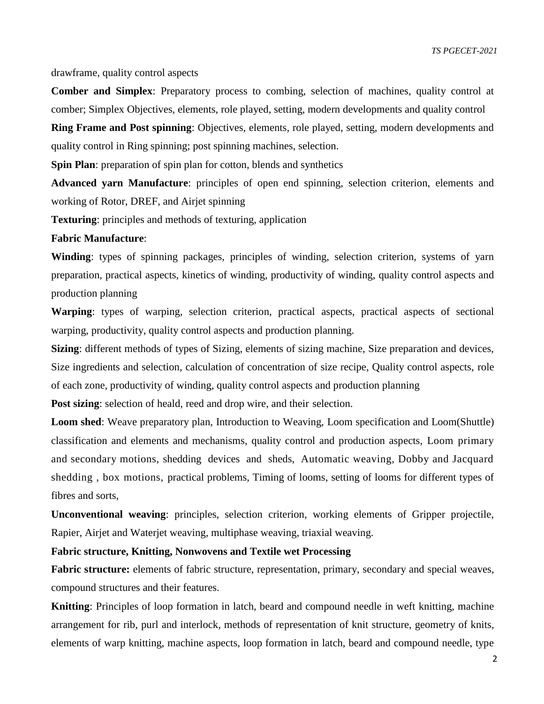*TS PGECET-2021*

drawframe, quality control aspects

**Comber and Simplex**: Preparatory process to combing, selection of machines, quality control at comber; Simplex Objectives, elements, role played, setting, modern developments and quality control

**Ring Frame and Post spinning**: Objectives, elements, role played, setting, modern developments and quality control in Ring spinning; post spinning machines, selection.

**Spin Plan**: preparation of spin plan for cotton, blends and synthetics

**Advanced yarn Manufacture**: principles of open end spinning, selection criterion, elements and working of Rotor, DREF, and Airjet spinning

**Texturing**: principles and methods of texturing, application

#### **Fabric Manufacture**:

**Winding**: types of spinning packages, principles of winding, selection criterion, systems of yarn preparation, practical aspects, kinetics of winding, productivity of winding, quality control aspects and production planning

**Warping**: types of warping, selection criterion, practical aspects, practical aspects of sectional warping, productivity, quality control aspects and production planning.

**Sizing**: different methods of types of Sizing, elements of sizing machine, Size preparation and devices, Size ingredients and selection, calculation of concentration of size recipe, Quality control aspects, role of each zone, productivity of winding, quality control aspects and production planning

**Post sizing**: selection of heald, reed and drop wire, and their selection.

**Loom shed**: Weave preparatory plan, Introduction to Weaving, Loom specification and Loom(Shuttle) classification and elements and mechanisms, quality control and production aspects, Loom primary and secondary motions, shedding devices and sheds, Automatic weaving, Dobby and Jacquard shedding , box motions, practical problems, Timing of looms, setting of looms for different types of fibres and sorts,

**Unconventional weaving**: principles, selection criterion, working elements of Gripper projectile, Rapier, Airjet and Waterjet weaving, multiphase weaving, triaxial weaving.

## **Fabric structure, Knitting, Nonwovens and Textile wet Processing**

Fabric structure: elements of fabric structure, representation, primary, secondary and special weaves, compound structures and their features.

**Knitting**: Principles of loop formation in latch, beard and compound needle in weft knitting, machine arrangement for rib, purl and interlock, methods of representation of knit structure, geometry of knits, elements of warp knitting, machine aspects, loop formation in latch, beard and compound needle, type